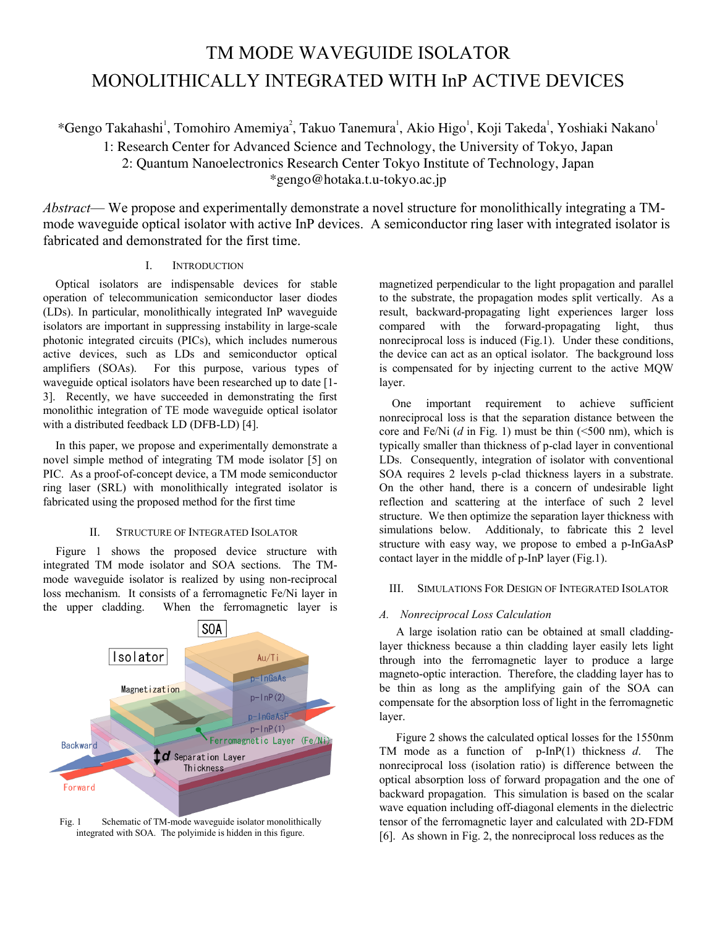# TM MODE WAVEGUIDE ISOLATOR MONOLITHICALLY INTEGRATED WITH InP ACTIVE DEVICES

\*Gengo Takahashi<sup>1</sup>, Tomohiro Amemiya<sup>2</sup>, Takuo Tanemura<sup>1</sup>, Akio Higo<sup>1</sup>, Koji Takeda<sup>1</sup>, Yoshiaki Nakano<sup>1</sup>

1: Research Center for Advanced Science and Technology, the University of Tokyo, Japan

2: Quantum Nanoelectronics Research Center Tokyo Institute of Technology, Japan \*gengo@hotaka.t.u-tokyo.ac.jp

*Abstract*— We propose and experimentally demonstrate a novel structure for monolithically integrating a TMmode waveguide optical isolator with active InP devices. A semiconductor ring laser with integrated isolator is fabricated and demonstrated for the first time.

## I. INTRODUCTION

Optical isolators are indispensable devices for stable operation of telecommunication semiconductor laser diodes (LDs). In particular, monolithically integrated InP waveguide isolators are important in suppressing instability in large-scale photonic integrated circuits (PICs), which includes numerous active devices, such as LDs and semiconductor optical amplifiers (SOAs). For this purpose, various types of waveguide optical isolators have been researched up to date [1- 3]. Recently, we have succeeded in demonstrating the first monolithic integration of TE mode waveguide optical isolator with a distributed feedback LD (DFB-LD) [4].

In this paper, we propose and experimentally demonstrate a novel simple method of integrating TM mode isolator [5] on PIC. As a proof-of-concept device, a TM mode semiconductor ring laser (SRL) with monolithically integrated isolator is fabricated using the proposed method for the first time

## II. STRUCTURE OF INTEGRATED ISOLATOR

Figure 1 shows the proposed device structure with integrated TM mode isolator and SOA sections. The TMmode waveguide isolator is realized by using non-reciprocal loss mechanism. It consists of a ferromagnetic Fe/Ni layer in the upper cladding. When the ferromagnetic layer is



Fig. 1 Schematic of TM-mode waveguide isolator monolithically integrated with SOA. The polyimide is hidden in this figure.

magnetized perpendicular to the light propagation and parallel to the substrate, the propagation modes split vertically. As a result, backward-propagating light experiences larger loss compared with the forward-propagating light, thus nonreciprocal loss is induced (Fig.1). Under these conditions, the device can act as an optical isolator. The background loss is compensated for by injecting current to the active MQW layer.

One important requirement to achieve sufficient nonreciprocal loss is that the separation distance between the core and Fe/Ni (*d* in Fig. 1) must be thin (<500 nm), which is typically smaller than thickness of p-clad layer in conventional LDs. Consequently, integration of isolator with conventional SOA requires 2 levels p-clad thickness layers in a substrate. On the other hand, there is a concern of undesirable light reflection and scattering at the interface of such 2 level structure. We then optimize the separation layer thickness with simulations below. Additionaly, to fabricate this 2 level structure with easy way, we propose to embed a p-InGaAsP contact layer in the middle of p-InP layer (Fig.1).

## III. SIMULATIONS FOR DESIGN OF INTEGRATED ISOLATOR

## *A. Nonreciprocal Loss Calculation*

A large isolation ratio can be obtained at small claddinglayer thickness because a thin cladding layer easily lets light through into the ferromagnetic layer to produce a large magneto-optic interaction. Therefore, the cladding layer has to be thin as long as the amplifying gain of the SOA can compensate for the absorption loss of light in the ferromagnetic layer.

Figure 2 shows the calculated optical losses for the 1550nm TM mode as a function of p-InP(1) thickness *d*. The nonreciprocal loss (isolation ratio) is difference between the optical absorption loss of forward propagation and the one of backward propagation. This simulation is based on the scalar wave equation including off-diagonal elements in the dielectric tensor of the ferromagnetic layer and calculated with 2D-FDM [6]. As shown in Fig. 2, the nonreciprocal loss reduces as the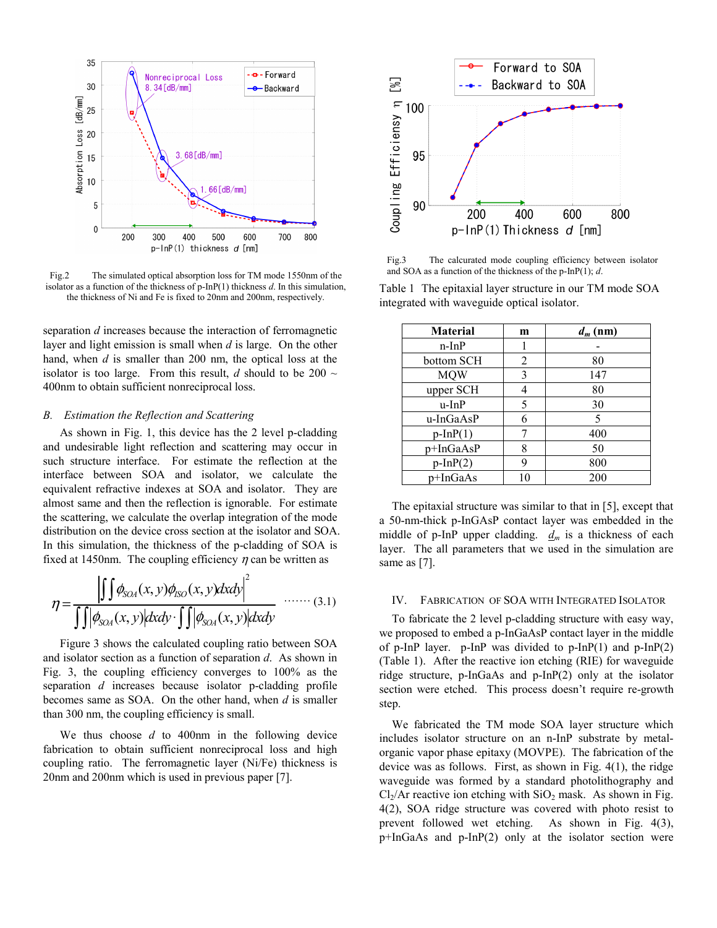

Fig.2 The simulated optical absorption loss for TM mode 1550nm of the and SOA as a function of the thickness of the p-InP(1); *d*. isolator as a function of the thickness of p-InP(1) thickness *d*. In this simulation, the thickness of Ni and Fe is fixed to 20nm and 200nm, respectively.

separation *d* increases because the interaction of ferromagnetic layer and light emission is small when *d* is large. On the other hand, when *d* is smaller than 200 nm, the optical loss at the isolator is too large. From this result,  $d$  should to be 200  $\sim$ 400nm to obtain sufficient nonreciprocal loss.

#### *B. Estimation the Reflection and Scattering*

As shown in Fig. 1, this device has the 2 level p-cladding and undesirable light reflection and scattering may occur in such structure interface. For estimate the reflection at the interface between SOA and isolator, we calculate the equivalent refractive indexes at SOA and isolator. They are almost same and then the reflection is ignorable. For estimate the scattering, we calculate the overlap integration of the mode distribution on the device cross section at the isolator and SOA. In this simulation, the thickness of the p-cladding of SOA is fixed at 1450nm. The coupling efficiency  $\eta$  can be written as

$$
\eta = \frac{\left| \int \int \phi_{SO_4}(x, y) \phi_{SO}(x, y) dxdy \right|^2}{\int \int \left| \phi_{SO_4}(x, y) \right| dxdy \cdot \int \int \left| \phi_{SO_4}(x, y) \right| dxdy} \quad \dots \dots \quad (3.1)
$$

Figure 3 shows the calculated coupling ratio between SOA and isolator section as a function of separation *d*. As shown in Fig. 3, the coupling efficiency converges to 100% as the separation *d* increases because isolator p-cladding profile becomes same as SOA. On the other hand, when *d* is smaller than 300 nm, the coupling efficiency is small.

We thus choose *d* to 400nm in the following device fabrication to obtain sufficient nonreciprocal loss and high coupling ratio. The ferromagnetic layer (Ni/Fe) thickness is 20nm and 200nm which is used in previous paper [7].



Fig.3 The calcurated mode coupling efficiency between isolator

Table 1 The epitaxial layer structure in our TM mode SOA integrated with waveguide optical isolator.

| <b>Material</b> | m  | $d_m$ (nm) |
|-----------------|----|------------|
| $n$ -In $P$     |    |            |
| bottom SCH      | 2  | 80         |
| <b>MOW</b>      | 3  | 147        |
| upper SCH       |    | 80         |
| u-InP           | 5  | 30         |
| u-InGaAsP       | 6  | 5          |
| $p-InP(1)$      |    | 400        |
| p+InGaAsP       | 8  | 50         |
| $p-InP(2)$      | 9  | 800        |
| p+InGaAs        | 10 | 200        |

The epitaxial structure was similar to that in [5], except that a 50-nm-thick p-InGAsP contact layer was embedded in the middle of p-InP upper cladding.  $d_m$  is a thickness of each layer. The all parameters that we used in the simulation are same as [7].

#### IV. FABRICATION OF SOA WITH INTEGRATED ISOLATOR

To fabricate the 2 level p-cladding structure with easy way, we proposed to embed a p-InGaAsP contact layer in the middle of p-InP layer. p-InP was divided to p-InP(1) and p-InP(2) (Table 1). After the reactive ion etching (RIE) for waveguide ridge structure, p-InGaAs and p-InP(2) only at the isolator section were etched. This process doesn't require re-growth step.

We fabricated the TM mode SOA layer structure which includes isolator structure on an n-InP substrate by metalorganic vapor phase epitaxy (MOVPE). The fabrication of the device was as follows. First, as shown in Fig. 4(1), the ridge waveguide was formed by a standard photolithography and  $Cl<sub>2</sub>/Ar$  reactive ion etching with  $SiO<sub>2</sub>$  mask. As shown in Fig. 4(2), SOA ridge structure was covered with photo resist to prevent followed wet etching. As shown in Fig. 4(3), p+InGaAs and p-InP(2) only at the isolator section were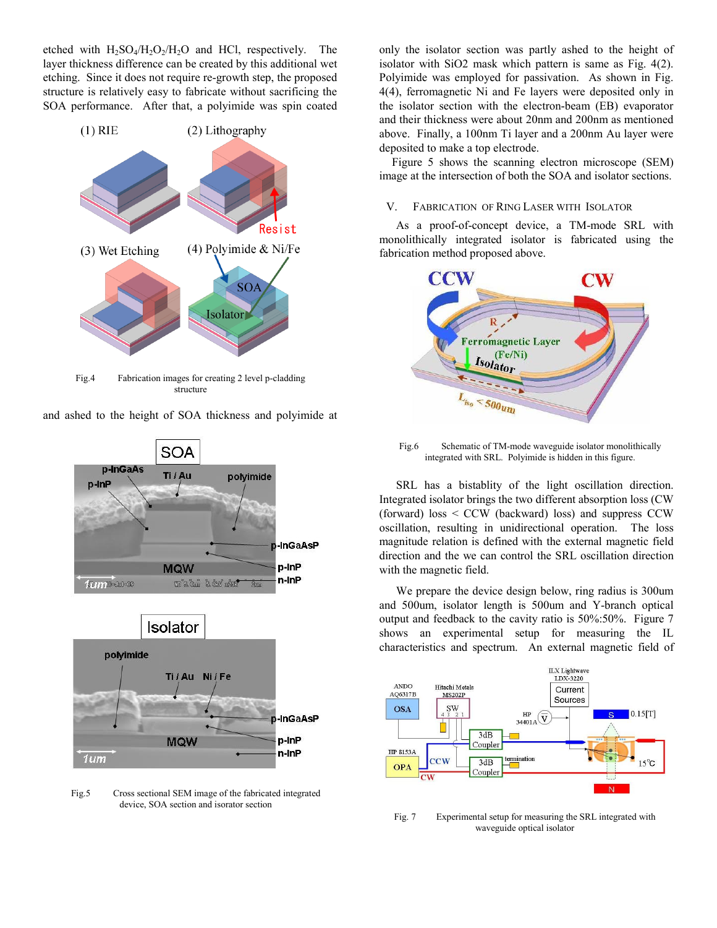etched with  $H_2SO_4/H_2O_2/H_2O$  and HCl, respectively. The layer thickness difference can be created by this additional wet etching. Since it does not require re-growth step, the proposed structure is relatively easy to fabricate without sacrificing the SOA performance. After that, a polyimide was spin coated



Fig.4 Fabrication images for creating 2 level p-cladding structure

**SOA** p-InGaAs Ti / Au polyimide p-InP **J-InGaAsP** p-InP **MQW** n-InP fum<sup>6-de1-09</sup> **TO 3 Cm 3 CMV x25K** Isolator polyimide Ti / Au Ni / Fe **InGaAsP** p-InP **MQW** n-InP  $1$ um

Fig.5 Cross sectional SEM image of the fabricated integrated device, SOA section and isorator section

only the isolator section was partly ashed to the height of isolator with SiO2 mask which pattern is same as Fig. 4(2). Polyimide was employed for passivation. As shown in Fig. 4(4), ferromagnetic Ni and Fe layers were deposited only in the isolator section with the electron-beam (EB) evaporator and their thickness were about 20nm and 200nm as mentioned above. Finally, a 100nm Ti layer and a 200nm Au layer were deposited to make a top electrode.

Figure 5 shows the scanning electron microscope (SEM) image at the intersection of both the SOA and isolator sections.

### V. FABRICATION OF RING LASER WITH ISOLATOR

As a proof-of-concept device, a TM-mode SRL with monolithically integrated isolator is fabricated using the fabrication method proposed above.



Fig.6 Schematic of TM-mode waveguide isolator monolithically integrated with SRL. Polyimide is hidden in this figure.

SRL has a bistablity of the light oscillation direction. Integrated isolator brings the two different absorption loss (CW (forward) loss < CCW (backward) loss) and suppress CCW oscillation, resulting in unidirectional operation. The loss magnitude relation is defined with the external magnetic field direction and the we can control the SRL oscillation direction with the magnetic field.

We prepare the device design below, ring radius is 300um and 500um, isolator length is 500um and Y-branch optical output and feedback to the cavity ratio is 50%:50%. Figure 7 shows an experimental setup for measuring the IL characteristics and spectrum. An external magnetic field of



Fig. 7 Experimental setup for measuring the SRL integrated with waveguide optical isolator

and ashed to the height of SOA thickness and polyimide at